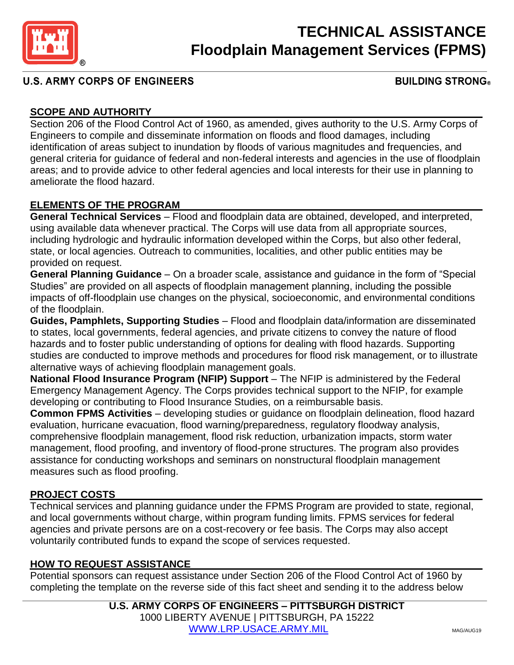

# **TECHNICAL ASSISTANCE Floodplain Management Services (FPMS)**

## **U.S. ARMY CORPS OF ENGINEERS**

### **BUILDING STRONG**

## **SCOPE AND AUTHORITY**

Section 206 of the Flood Control Act of 1960, as amended, gives authority to the U.S. Army Corps of Engineers to compile and disseminate information on floods and flood damages, including identification of areas subject to inundation by floods of various magnitudes and frequencies, and general criteria for guidance of federal and non-federal interests and agencies in the use of floodplain areas; and to provide advice to other federal agencies and local interests for their use in planning to ameliorate the flood hazard.

### **ELEMENTS OF THE PROGRAM**

**General Technical Services** – Flood and floodplain data are obtained, developed, and interpreted, using available data whenever practical. The Corps will use data from all appropriate sources, including hydrologic and hydraulic information developed within the Corps, but also other federal, state, or local agencies. Outreach to communities, localities, and other public entities may be provided on request.

**General Planning Guidance** – On a broader scale, assistance and guidance in the form of "Special Studies" are provided on all aspects of floodplain management planning, including the possible impacts of off-floodplain use changes on the physical, socioeconomic, and environmental conditions of the floodplain.

**Guides, Pamphlets, Supporting Studies** – Flood and floodplain data/information are disseminated to states, local governments, federal agencies, and private citizens to convey the nature of flood hazards and to foster public understanding of options for dealing with flood hazards. Supporting studies are conducted to improve methods and procedures for flood risk management, or to illustrate alternative ways of achieving floodplain management goals.

**National Flood Insurance Program (NFIP) Support** – The NFIP is administered by the Federal Emergency Management Agency. The Corps provides technical support to the NFIP, for example developing or contributing to Flood Insurance Studies, on a reimbursable basis.

**Common FPMS Activities** – developing studies or guidance on floodplain delineation, flood hazard evaluation, hurricane evacuation, flood warning/preparedness, regulatory floodway analysis, comprehensive floodplain management, flood risk reduction, urbanization impacts, storm water management, flood proofing, and inventory of flood-prone structures. The program also provides assistance for conducting workshops and seminars on nonstructural floodplain management measures such as flood proofing.

### **PROJECT COSTS**

Technical services and planning guidance under the FPMS Program are provided to state, regional, and local governments without charge, within program funding limits. FPMS services for federal agencies and private persons are on a cost-recovery or fee basis. The Corps may also accept voluntarily contributed funds to expand the scope of services requested.

## **HOW TO REQUEST ASSISTANCE**

Potential sponsors can request assistance under Section 206 of the Flood Control Act of 1960 by completing the template on the reverse side of this fact sheet and sending it to the address below